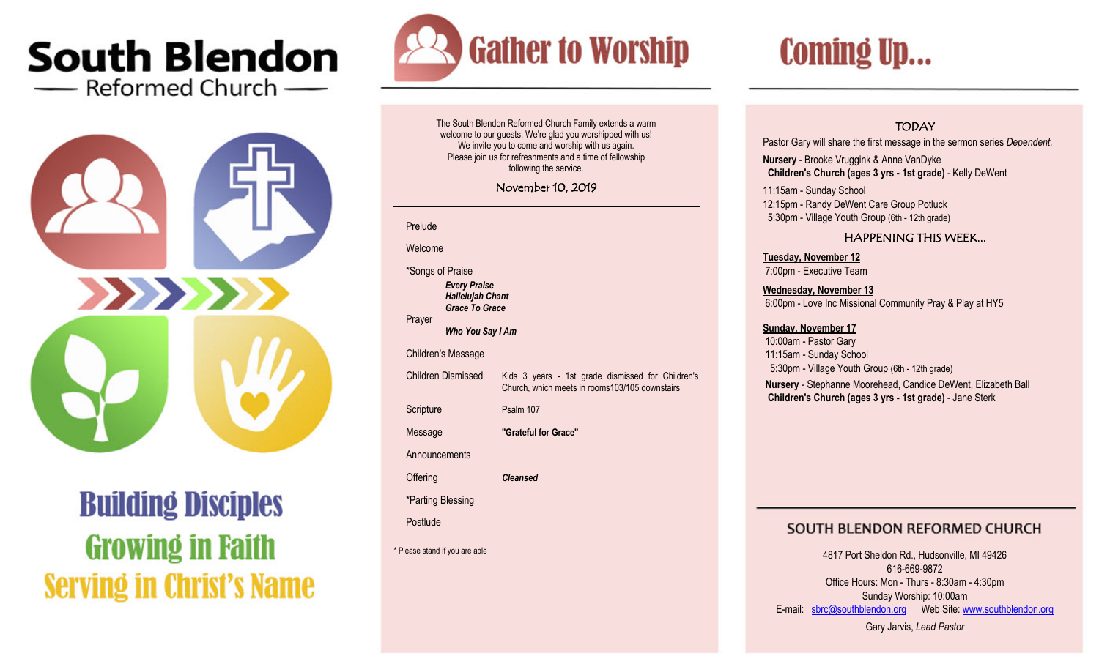



# **Building Disciples Growing in Faith Serving in Christ's Name**



The South Blendon Reformed Church Family extends a warm welcome to our guests. We're glad you worshipped with us! We invite you to come and worship with us again. Please join us for refreshments and a time of fellowship following the service.

November 10, 2019

# Prelude Welcome \*Songs of Praise *Every Praise Hallelujah Chant Grace To Grace* Prayer *Who You Say I Am* Children's Message Children Dismissed Kids 3 years - 1st grade dismissed for Children's Church, which meets in rooms103/105 downstairs Scripture Psalm 107 Message **"Grateful for Grace" Announcements** Offering *Cleansed*  \*Parting Blessing **Postlude**

\* Please stand if you are able

# **Coming Up...**

# **TODAY**

Pastor Gary will share the first message in the sermon series *Dependent.* 

**Nursery** - Brooke Vruggink & Anne VanDyke  **Children's Church (ages 3 yrs - 1st grade)** - Kelly DeWent

11:15am - Sunday School 12:15pm - Randy DeWent Care Group Potluck 5:30pm - Village Youth Group (6th - 12th grade)

## HAPPENING THIS WEEK...

**Tuesday, November 12** 7:00pm - Executive Team

**Wednesday, November 13** 6:00pm - Love Inc Missional Community Pray & Play at HY5

### **Sunday, November 17**

10:00am - Pastor Gary 11:15am - Sunday School 5:30pm - Village Youth Group (6th - 12th grade) **Nursery** - Stephanne Moorehead, Candice DeWent, Elizabeth Ball  **Children's Church (ages 3 yrs - 1st grade)** - Jane Sterk

# SOUTH BLENDON REFORMED CHURCH

4817 Port Sheldon Rd., Hudsonville, MI 49426 616-669-9872 Office Hours: Mon - Thurs - 8:30am - 4:30pm Sunday Worship: 10:00am E-mail: sbrc@southblendon.org Web Site: www.southblendon.org

Gary Jarvis, *Lead Pastor*